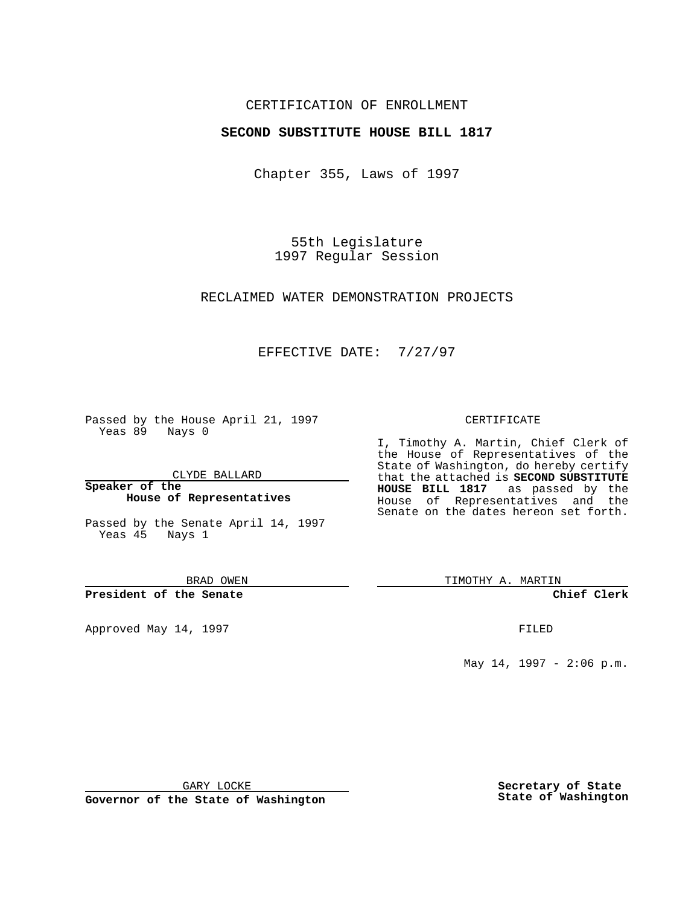# CERTIFICATION OF ENROLLMENT

# **SECOND SUBSTITUTE HOUSE BILL 1817**

Chapter 355, Laws of 1997

55th Legislature 1997 Regular Session

## RECLAIMED WATER DEMONSTRATION PROJECTS

# EFFECTIVE DATE: 7/27/97

Passed by the House April 21, 1997 Yeas 89 Nays 0

CLYDE BALLARD

**Speaker of the House of Representatives**

Passed by the Senate April 14, 1997 Yeas 45 Nays 1

BRAD OWEN

#### **President of the Senate**

Approved May 14, 1997 **FILED** 

### CERTIFICATE

I, Timothy A. Martin, Chief Clerk of the House of Representatives of the State of Washington, do hereby certify that the attached is **SECOND SUBSTITUTE HOUSE BILL 1817** as passed by the House of Representatives and the Senate on the dates hereon set forth.

TIMOTHY A. MARTIN

## **Chief Clerk**

May 14, 1997 - 2:06 p.m.

GARY LOCKE

**Governor of the State of Washington**

**Secretary of State State of Washington**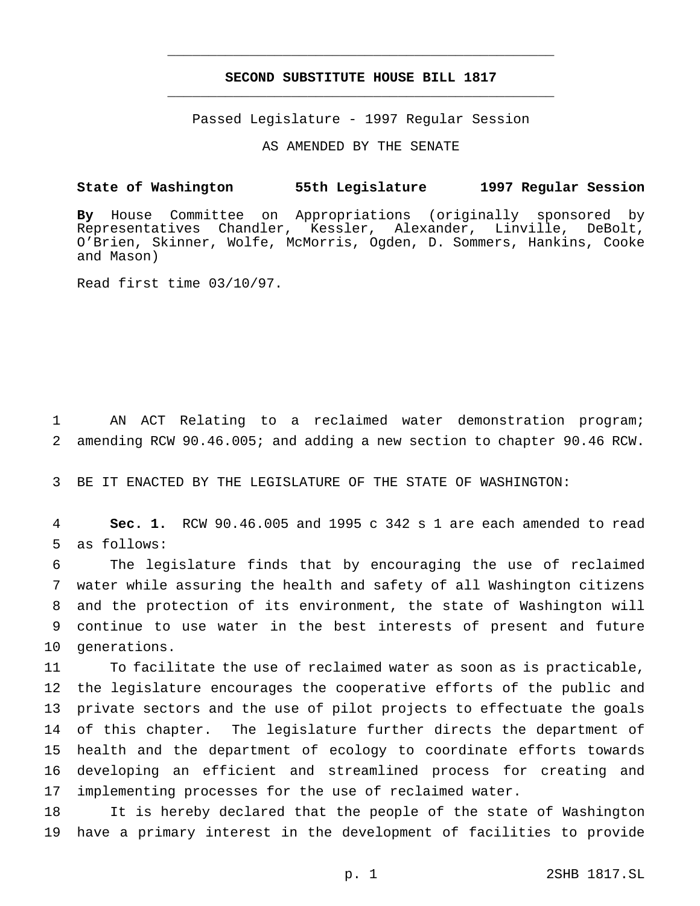# **SECOND SUBSTITUTE HOUSE BILL 1817** \_\_\_\_\_\_\_\_\_\_\_\_\_\_\_\_\_\_\_\_\_\_\_\_\_\_\_\_\_\_\_\_\_\_\_\_\_\_\_\_\_\_\_\_\_\_\_

\_\_\_\_\_\_\_\_\_\_\_\_\_\_\_\_\_\_\_\_\_\_\_\_\_\_\_\_\_\_\_\_\_\_\_\_\_\_\_\_\_\_\_\_\_\_\_

Passed Legislature - 1997 Regular Session

AS AMENDED BY THE SENATE

# **State of Washington 55th Legislature 1997 Regular Session**

**By** House Committee on Appropriations (originally sponsored by Representatives Chandler, Kessler, Alexander, Linville, DeBolt, O'Brien, Skinner, Wolfe, McMorris, Ogden, D. Sommers, Hankins, Cooke and Mason)

Read first time 03/10/97.

 AN ACT Relating to a reclaimed water demonstration program; amending RCW 90.46.005; and adding a new section to chapter 90.46 RCW.

BE IT ENACTED BY THE LEGISLATURE OF THE STATE OF WASHINGTON:

 **Sec. 1.** RCW 90.46.005 and 1995 c 342 s 1 are each amended to read as follows:

 The legislature finds that by encouraging the use of reclaimed water while assuring the health and safety of all Washington citizens and the protection of its environment, the state of Washington will continue to use water in the best interests of present and future generations.

 To facilitate the use of reclaimed water as soon as is practicable, the legislature encourages the cooperative efforts of the public and private sectors and the use of pilot projects to effectuate the goals of this chapter. The legislature further directs the department of health and the department of ecology to coordinate efforts towards developing an efficient and streamlined process for creating and implementing processes for the use of reclaimed water.

 It is hereby declared that the people of the state of Washington have a primary interest in the development of facilities to provide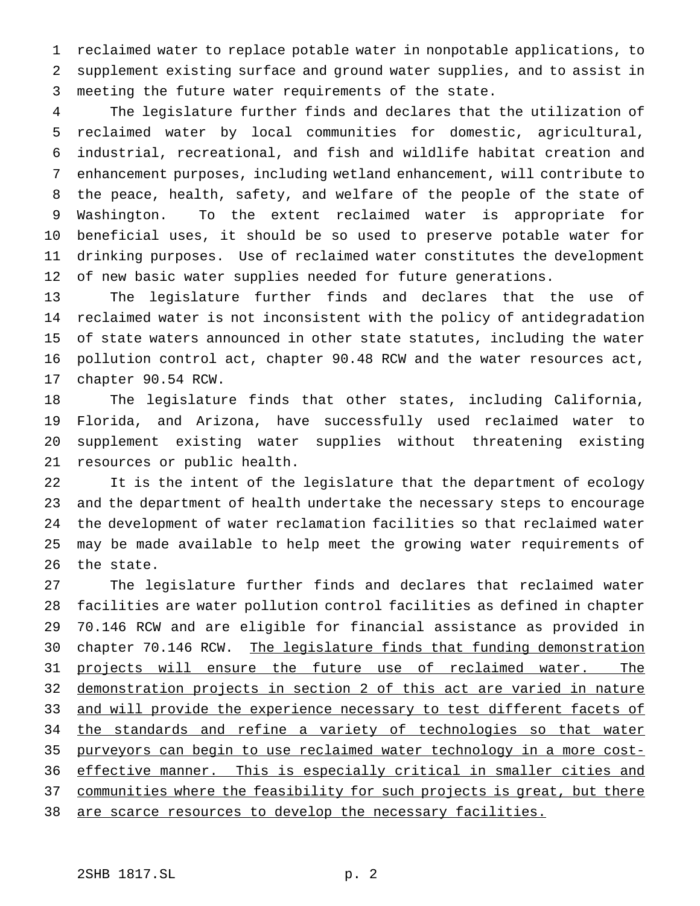reclaimed water to replace potable water in nonpotable applications, to supplement existing surface and ground water supplies, and to assist in meeting the future water requirements of the state.

 The legislature further finds and declares that the utilization of reclaimed water by local communities for domestic, agricultural, industrial, recreational, and fish and wildlife habitat creation and enhancement purposes, including wetland enhancement, will contribute to the peace, health, safety, and welfare of the people of the state of Washington. To the extent reclaimed water is appropriate for beneficial uses, it should be so used to preserve potable water for drinking purposes. Use of reclaimed water constitutes the development 12 of new basic water supplies needed for future generations.

 The legislature further finds and declares that the use of reclaimed water is not inconsistent with the policy of antidegradation of state waters announced in other state statutes, including the water pollution control act, chapter 90.48 RCW and the water resources act, chapter 90.54 RCW.

 The legislature finds that other states, including California, Florida, and Arizona, have successfully used reclaimed water to supplement existing water supplies without threatening existing resources or public health.

 It is the intent of the legislature that the department of ecology and the department of health undertake the necessary steps to encourage the development of water reclamation facilities so that reclaimed water may be made available to help meet the growing water requirements of the state.

 The legislature further finds and declares that reclaimed water facilities are water pollution control facilities as defined in chapter 70.146 RCW and are eligible for financial assistance as provided in 30 chapter 70.146 RCW. The legislature finds that funding demonstration 31 projects will ensure the future use of reclaimed water. The demonstration projects in section 2 of this act are varied in nature 33 and will provide the experience necessary to test different facets of 34 the standards and refine a variety of technologies so that water purveyors can begin to use reclaimed water technology in a more cost- effective manner. This is especially critical in smaller cities and 37 communities where the feasibility for such projects is great, but there 38 are scarce resources to develop the necessary facilities.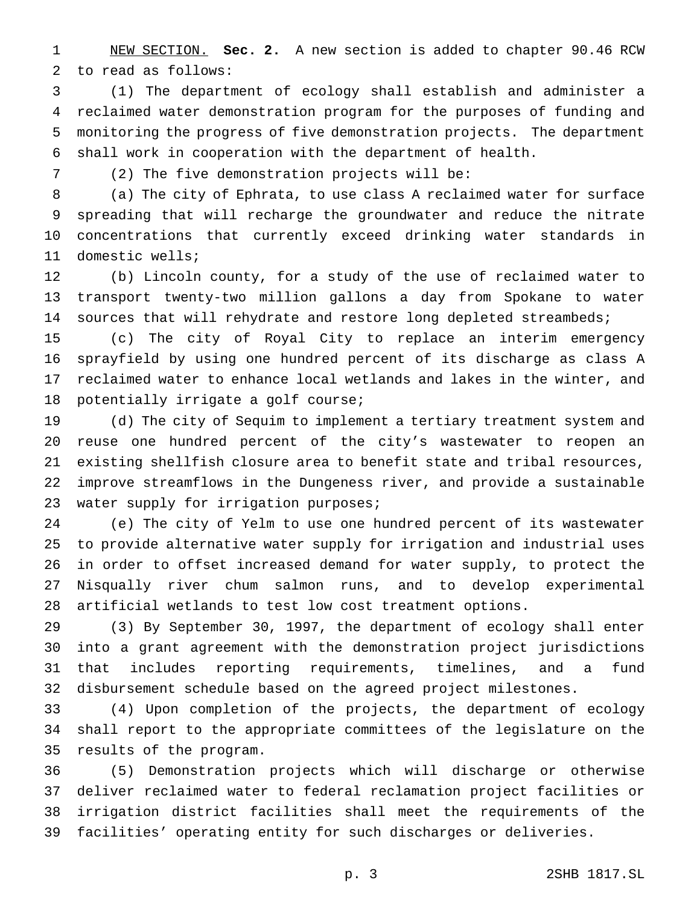NEW SECTION. **Sec. 2.** A new section is added to chapter 90.46 RCW to read as follows:

 (1) The department of ecology shall establish and administer a reclaimed water demonstration program for the purposes of funding and monitoring the progress of five demonstration projects. The department shall work in cooperation with the department of health.

(2) The five demonstration projects will be:

 (a) The city of Ephrata, to use class A reclaimed water for surface spreading that will recharge the groundwater and reduce the nitrate concentrations that currently exceed drinking water standards in domestic wells;

 (b) Lincoln county, for a study of the use of reclaimed water to transport twenty-two million gallons a day from Spokane to water 14 sources that will rehydrate and restore long depleted streambeds;

 (c) The city of Royal City to replace an interim emergency sprayfield by using one hundred percent of its discharge as class A reclaimed water to enhance local wetlands and lakes in the winter, and 18 potentially irrigate a golf course;

 (d) The city of Sequim to implement a tertiary treatment system and reuse one hundred percent of the city's wastewater to reopen an existing shellfish closure area to benefit state and tribal resources, improve streamflows in the Dungeness river, and provide a sustainable 23 water supply for irrigation purposes;

 (e) The city of Yelm to use one hundred percent of its wastewater to provide alternative water supply for irrigation and industrial uses in order to offset increased demand for water supply, to protect the Nisqually river chum salmon runs, and to develop experimental artificial wetlands to test low cost treatment options.

 (3) By September 30, 1997, the department of ecology shall enter into a grant agreement with the demonstration project jurisdictions that includes reporting requirements, timelines, and a fund disbursement schedule based on the agreed project milestones.

 (4) Upon completion of the projects, the department of ecology shall report to the appropriate committees of the legislature on the results of the program.

 (5) Demonstration projects which will discharge or otherwise deliver reclaimed water to federal reclamation project facilities or irrigation district facilities shall meet the requirements of the facilities' operating entity for such discharges or deliveries.